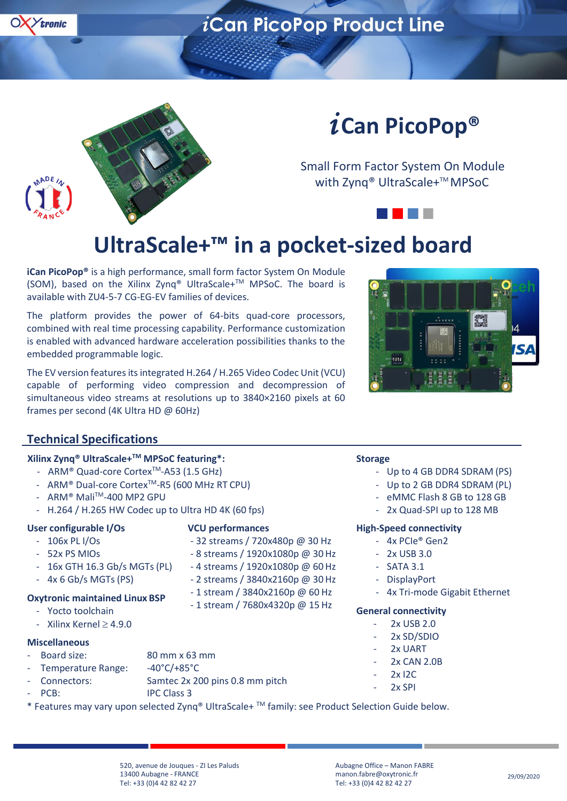



# *i* **Can PicoPop®**

Small Form Factor System On Module with Zynq® UltraScale+™ MPSoC

### **UltraScale+™ in a pocket-sized board**

**iCan PicoPop®** is a high performance, small form factor System On Module (SOM), based on the Xilinx Zynq® UltraScale+TM MPSoC. The board is available with ZU4-5-7 CG-EG-EV families of devices.

The platform provides the power of 64-bits quad-core processors, combined with real time processing capability. Performance customization is enabled with advanced hardware acceleration possibilities thanks to the embedded programmable logic.

The EV version features its integrated H.264 / H.265 Video Codec Unit (VCU) capable of performing video compression and decompression of simultaneous video streams at resolutions up to 3840×2160 pixels at 60 frames per second (4K Ultra HD @ 60Hz)



- Up to 4 GB DDR4 SDRAM (PS) - Up to 2 GB DDR4 SDRAM (PL) eMMC Flash 8 GB to 128 GB 2x Quad-SPI up to 128 MB

- 4x Tri-mode Gigabit Ethernet

**High-Speed connectivity** - 4x PCIe® Gen2 - 2x USB 3.0 **SATA 3.1 DisplayPort** 

**General connectivity** 2x USB 2.0 2x SD/SDIO 2x UART 2x CAN 2.0B 2x I2C 2x SPI

#### **Technical Specifications**

#### **Xilinx Zynq® UltraScale+TM MPSoC featuring\*:**

- ARM<sup>®</sup> Quad-core Cortex<sup>™</sup>-A53 (1.5 GHz)
- ARM® Dual-core CortexTM-R5 (600 MHz RT CPU)
- ARM® MaliTM-400 MP2 GPU
- H.264 / H.265 HW Codec up to Ultra HD 4K (60 fps)

#### **User configurable I/Os**

### **VCU performances**

- 106x PL I/Os - 52x PS MIOs - 32 streams / 720x480p @ 30 Hz - 8 streams / 1920x1080p @ 30 Hz
- 16x GTH 16.3 Gb/s MGTs(PL) - 4 streams / 1920x1080p @ 60 Hz
	- 2 streams / 3840x2160p @ 30 Hz
		- 1 stream / 3840x2160p @ 60 Hz
		- 1 stream / 7680x4320p @ 15 Hz
- Yocto toolchain - Xilinx Kernel  $\geq 4.9.0$

**Oxytronic maintained Linux BSP**

- 4x 6 Gb/s MGTs (PS)

#### **Miscellaneous**

- Board size: 80 mm x 63 mm
- Temperature Range: -40°C/+85°C
- Connectors: Samtec 2x 200 pins 0.8 mm pitch IPC Class 3
- PCB:

\* Features may vary upon selected Zynq® UltraScale+ TM family: see Product Selection Guide below.

520, avenue de Jouques - ZI Les Paluds 13400 Aubagne - FRANCE Tel: +33 (0)4 42 82 42 27

Aubagne Office – Manon FABRE [manon.fabre@oxytronic.fr](mailto:manon.fabre@oxytronic.fr) Tel: +33 (0)4 42 82 42 27

**Storage**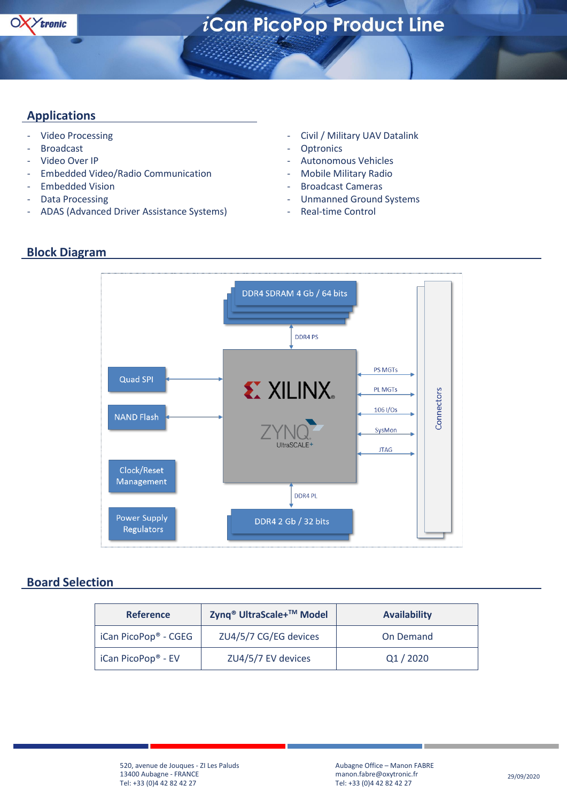

#### **Applications**

- Video Processing
- Broadcast
- Video Over IP
- Embedded Video/Radio Communication
- Embedded Vision
- Data Processing
- ADAS (Advanced Driver Assistance Systems)
- Civil / Military UAV Datalink
- **Optronics**
- Autonomous Vehicles
- Mobile Military Radio
- Broadcast Cameras
- Unmanned Ground Systems
- Real-time Control

#### **Block Diagram**



#### **Board Selection**

| <b>Reference</b>                 | Zynq <sup>®</sup> UltraScale+™ Model | <b>Availability</b> |  |  |  |  |
|----------------------------------|--------------------------------------|---------------------|--|--|--|--|
| iCan PicoPop <sup>®</sup> - CGEG | ZU4/5/7 CG/EG devices                | On Demand           |  |  |  |  |
| iCan PicoPop <sup>®</sup> - EV   | ZU4/5/7 EV devices                   | Q1/2020             |  |  |  |  |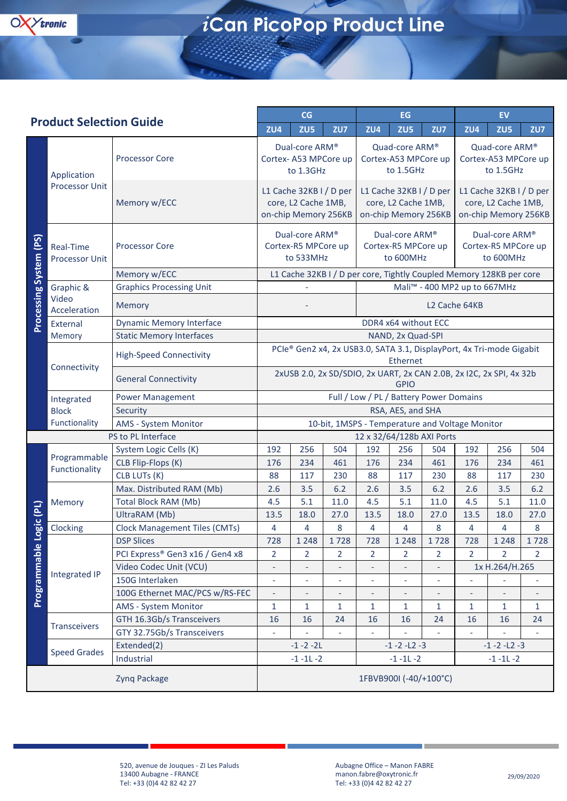

| <b>Product Selection Guide</b> |                                      | CG                                                                 |                                                                                    | EG                       |                                                     |                                                                        | <b>EV</b>                                       |                                                     |                                                                        |                |                |
|--------------------------------|--------------------------------------|--------------------------------------------------------------------|------------------------------------------------------------------------------------|--------------------------|-----------------------------------------------------|------------------------------------------------------------------------|-------------------------------------------------|-----------------------------------------------------|------------------------------------------------------------------------|----------------|----------------|
|                                |                                      | ZU4                                                                | ZU <sub>5</sub>                                                                    | ZU7                      | ZU4                                                 | ZU <sub>5</sub>                                                        | ZU7                                             | ZU4                                                 | ZU <sub>5</sub>                                                        | ZU7            |                |
| Processing System (PS)         | Application<br><b>Processor Unit</b> | <b>Processor Core</b>                                              | Dual-core ARM®<br>Cortex-A53 MPCore up<br>to 1.3GHz                                |                          | Quad-core ARM®<br>Cortex-A53 MPCore up<br>to 1.5GHz |                                                                        |                                                 | Quad-core ARM®<br>Cortex-A53 MPCore up<br>to 1.5GHz |                                                                        |                |                |
|                                |                                      | Memory w/ECC                                                       | L1 Cache 32KB I / D per<br>core, L2 Cache 1MB,<br>on-chip Memory 256KB             |                          |                                                     | L1 Cache 32KB I / D per<br>core, L2 Cache 1MB,<br>on-chip Memory 256KB |                                                 |                                                     | L1 Cache 32KB I / D per<br>core, L2 Cache 1MB,<br>on-chip Memory 256KB |                |                |
|                                | Real-Time<br>Processor Unit          | <b>Processor Core</b>                                              | Dual-core ARM®<br>Cortex-R5 MPCore up<br>to 533MHz                                 |                          |                                                     | Dual-core ARM®<br>Cortex-R5 MPCore up<br>to 600MHz                     |                                                 |                                                     | Dual-core ARM®<br>Cortex-R5 MPCore up<br>to 600MHz                     |                |                |
|                                |                                      | Memory w/ECC                                                       |                                                                                    |                          |                                                     | L1 Cache 32KB I / D per core, Tightly Coupled Memory 128KB per core    |                                                 |                                                     |                                                                        |                |                |
|                                | Graphic &                            | <b>Graphics Processing Unit</b>                                    |                                                                                    |                          |                                                     | Mali <sup>™</sup> - 400 MP2 up to 667MHz                               |                                                 |                                                     |                                                                        |                |                |
|                                | Video<br>Acceleration                | Memory                                                             |                                                                                    |                          |                                                     | L <sub>2</sub> Cache 64KB                                              |                                                 |                                                     |                                                                        |                |                |
|                                | External                             | <b>Dynamic Memory Interface</b>                                    | DDR4 x64 without ECC                                                               |                          |                                                     |                                                                        |                                                 |                                                     |                                                                        |                |                |
|                                | Memory                               | <b>Static Memory Interfaces</b><br>NAND, 2x Quad-SPI               |                                                                                    |                          |                                                     |                                                                        |                                                 |                                                     |                                                                        |                |                |
|                                | Connectivity                         | <b>High-Speed Connectivity</b>                                     | PCIe® Gen2 x4, 2x USB3.0, SATA 3.1, DisplayPort, 4x Tri-mode Gigabit<br>Ethernet   |                          |                                                     |                                                                        |                                                 |                                                     |                                                                        |                |                |
|                                |                                      | <b>General Connectivity</b>                                        | 2xUSB 2.0, 2x SD/SDIO, 2x UART, 2x CAN 2.0B, 2x I2C, 2x SPI, 4x 32b<br><b>GPIO</b> |                          |                                                     |                                                                        |                                                 |                                                     |                                                                        |                |                |
|                                | Integrated                           | Full / Low / PL / Battery Power Domains<br><b>Power Management</b> |                                                                                    |                          |                                                     |                                                                        |                                                 |                                                     |                                                                        |                |                |
|                                | <b>Block</b>                         | Security                                                           | RSA, AES, and SHA                                                                  |                          |                                                     |                                                                        |                                                 |                                                     |                                                                        |                |                |
|                                | Functionality                        | AMS - System Monitor                                               |                                                                                    |                          |                                                     |                                                                        | 10-bit, 1MSPS - Temperature and Voltage Monitor |                                                     |                                                                        |                |                |
| PS to PL Interface             |                                      |                                                                    | 12 x 32/64/128b AXI Ports                                                          |                          |                                                     |                                                                        |                                                 |                                                     |                                                                        |                |                |
| ogic (PL)<br>Programmable L    | Programmable<br>Functionality        | System Logic Cells (K)                                             | 192                                                                                | 256                      | 504                                                 | 192                                                                    | 256                                             | 504                                                 | 192                                                                    | 256            | 504            |
|                                |                                      | CLB Flip-Flops (K)                                                 | 176                                                                                | 234                      | 461                                                 | 176                                                                    | 234                                             | 461                                                 | 176                                                                    | 234            | 461            |
|                                |                                      | CLB LUTs (K)                                                       | 88                                                                                 | 117                      | 230                                                 | 88                                                                     | 117                                             | 230                                                 | 88                                                                     | 117            | 230            |
|                                | Memory                               | Max. Distributed RAM (Mb)                                          | 2.6                                                                                | 3.5                      | 6.2                                                 | 2.6                                                                    | 3.5                                             | 6.2                                                 | 2.6                                                                    | 3.5            | 6.2            |
|                                |                                      | <b>Total Block RAM (Mb)</b>                                        | 4.5                                                                                | 5.1                      | 11.0                                                | 4.5                                                                    | 5.1                                             | 11.0                                                | 4.5                                                                    | 5.1            | 11.0           |
|                                |                                      | UltraRAM (Mb)                                                      | 13.5                                                                               | 18.0                     | 27.0                                                | 13.5                                                                   | 18.0                                            | 27.0                                                | 13.5                                                                   | 18.0           | 27.0           |
|                                | Clocking                             | <b>Clock Management Tiles (CMTs)</b>                               | 4                                                                                  | 4                        | 8                                                   | 4                                                                      | 4                                               | 8                                                   | 4                                                                      | 4              | 8              |
|                                | <b>Integrated IP</b>                 | <b>DSP Slices</b>                                                  | 728                                                                                | 1 2 4 8                  | 1728                                                | 728                                                                    | 1 2 4 8                                         | 1728                                                | 728                                                                    | 1 2 4 8        | 1728           |
|                                |                                      | PCI Express® Gen3 x16 / Gen4 x8                                    | 2                                                                                  | $\overline{2}$           | $\overline{2}$                                      | $\overline{2}$                                                         | $\overline{2}$                                  | $\overline{2}$                                      | $\overline{2}$                                                         | 2              | $\overline{2}$ |
|                                |                                      | Video Codec Unit (VCU)                                             | $\overline{\phantom{0}}$                                                           | $\overline{\phantom{a}}$ | $\overline{\phantom{a}}$                            | $\overline{\phantom{a}}$                                               |                                                 | $\overline{\phantom{a}}$                            |                                                                        | 1x H.264/H.265 |                |
|                                |                                      | 150G Interlaken                                                    | ÷,                                                                                 |                          | ÷                                                   |                                                                        |                                                 |                                                     |                                                                        |                |                |
|                                |                                      | 100G Ethernet MAC/PCS w/RS-FEC                                     | L,                                                                                 |                          | $\overline{\phantom{a}}$                            |                                                                        |                                                 | $\overline{\phantom{a}}$                            |                                                                        |                |                |
|                                |                                      | AMS - System Monitor                                               | $\mathbf{1}$                                                                       | 1                        | 1                                                   | $\mathbf{1}$                                                           | 1                                               | 1                                                   | $\mathbf{1}$                                                           | 1              | 1              |
|                                | Transceivers                         | GTH 16.3Gb/s Transceivers                                          | 16                                                                                 | 16                       | 24                                                  | 16                                                                     | 16                                              | 24                                                  | 16                                                                     | 16             | 24             |
|                                |                                      | GTY 32.75Gb/s Transceivers                                         |                                                                                    |                          |                                                     |                                                                        |                                                 |                                                     |                                                                        |                |                |
|                                | <b>Speed Grades</b>                  | Extended(2)                                                        | $-1 - 2 - 2L$                                                                      |                          |                                                     | $-1 - 2 - 12 - 3$                                                      |                                                 |                                                     | $-1 - 2 - 12 - 3$                                                      |                |                |
|                                |                                      | Industrial                                                         | $-1 - 11 - 2$                                                                      |                          | $-1 - 11 - 2$                                       |                                                                        |                                                 | $-1 - 11 - 2$                                       |                                                                        |                |                |
|                                |                                      | 1FBVB900I (-40/+100°C)                                             |                                                                                    |                          |                                                     |                                                                        |                                                 |                                                     |                                                                        |                |                |